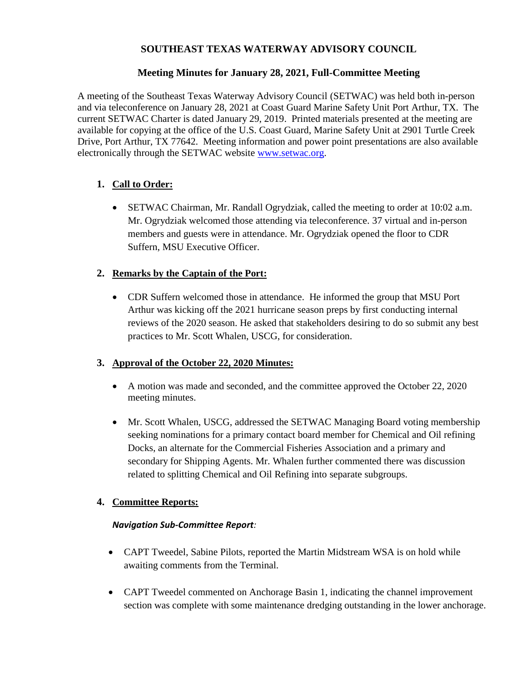### **SOUTHEAST TEXAS WATERWAY ADVISORY COUNCIL**

#### **Meeting Minutes for January 28, 2021, Full-Committee Meeting**

A meeting of the Southeast Texas Waterway Advisory Council (SETWAC) was held both in-person and via teleconference on January 28, 2021 at Coast Guard Marine Safety Unit Port Arthur, TX. The current SETWAC Charter is dated January 29, 2019. Printed materials presented at the meeting are available for copying at the office of the U.S. Coast Guard, Marine Safety Unit at 2901 Turtle Creek Drive, Port Arthur, TX 77642. Meeting information and power point presentations are also available electronically through the SETWAC website [www.setwac.org.](http://www.setwac.org/)

# **1. Call to Order:**

 SETWAC Chairman, Mr. Randall Ogrydziak, called the meeting to order at 10:02 a.m. Mr. Ogrydziak welcomed those attending via teleconference. 37 virtual and in-person members and guests were in attendance. Mr. Ogrydziak opened the floor to CDR Suffern, MSU Executive Officer.

### **2. Remarks by the Captain of the Port:**

 CDR Suffern welcomed those in attendance. He informed the group that MSU Port Arthur was kicking off the 2021 hurricane season preps by first conducting internal reviews of the 2020 season. He asked that stakeholders desiring to do so submit any best practices to Mr. Scott Whalen, USCG, for consideration.

#### **3. Approval of the October 22, 2020 Minutes:**

- A motion was made and seconded, and the committee approved the October 22, 2020 meeting minutes.
- Mr. Scott Whalen, USCG, addressed the SETWAC Managing Board voting membership seeking nominations for a primary contact board member for Chemical and Oil refining Docks, an alternate for the Commercial Fisheries Association and a primary and secondary for Shipping Agents. Mr. Whalen further commented there was discussion related to splitting Chemical and Oil Refining into separate subgroups.

# **4. Committee Reports:**

#### *Navigation Sub-Committee Report:*

- CAPT Tweedel, Sabine Pilots, reported the Martin Midstream WSA is on hold while awaiting comments from the Terminal.
- CAPT Tweedel commented on Anchorage Basin 1, indicating the channel improvement section was complete with some maintenance dredging outstanding in the lower anchorage.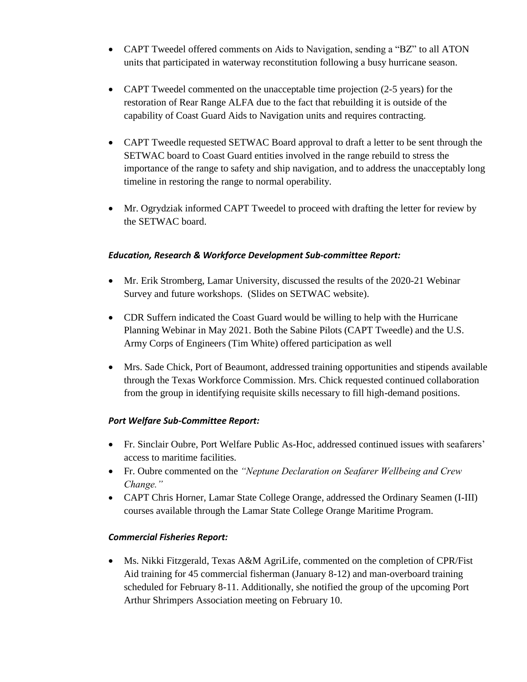- CAPT Tweedel offered comments on Aids to Navigation, sending a "BZ" to all ATON units that participated in waterway reconstitution following a busy hurricane season.
- CAPT Tweedel commented on the unacceptable time projection (2-5 years) for the restoration of Rear Range ALFA due to the fact that rebuilding it is outside of the capability of Coast Guard Aids to Navigation units and requires contracting.
- CAPT Tweedle requested SETWAC Board approval to draft a letter to be sent through the SETWAC board to Coast Guard entities involved in the range rebuild to stress the importance of the range to safety and ship navigation, and to address the unacceptably long timeline in restoring the range to normal operability.
- Mr. Ogrydziak informed CAPT Tweedel to proceed with drafting the letter for review by the SETWAC board.

### *Education, Research & Workforce Development Sub-committee Report:*

- Mr. Erik Stromberg, Lamar University, discussed the results of the 2020-21 Webinar Survey and future workshops. (Slides on SETWAC website).
- CDR Suffern indicated the Coast Guard would be willing to help with the Hurricane Planning Webinar in May 2021. Both the Sabine Pilots (CAPT Tweedle) and the U.S. Army Corps of Engineers (Tim White) offered participation as well
- Mrs. Sade Chick, Port of Beaumont, addressed training opportunities and stipends available through the Texas Workforce Commission. Mrs. Chick requested continued collaboration from the group in identifying requisite skills necessary to fill high-demand positions.

#### *Port Welfare Sub-Committee Report:*

- Fr. Sinclair Oubre, Port Welfare Public As-Hoc, addressed continued issues with seafarers' access to maritime facilities.
- Fr. Oubre commented on the *"Neptune Declaration on Seafarer Wellbeing and Crew Change."*
- CAPT Chris Horner, Lamar State College Orange, addressed the Ordinary Seamen (I-III) courses available through the Lamar State College Orange Maritime Program.

# *Commercial Fisheries Report:*

 Ms. Nikki Fitzgerald, Texas A&M AgriLife, commented on the completion of CPR/Fist Aid training for 45 commercial fisherman (January 8-12) and man-overboard training scheduled for February 8-11. Additionally, she notified the group of the upcoming Port Arthur Shrimpers Association meeting on February 10.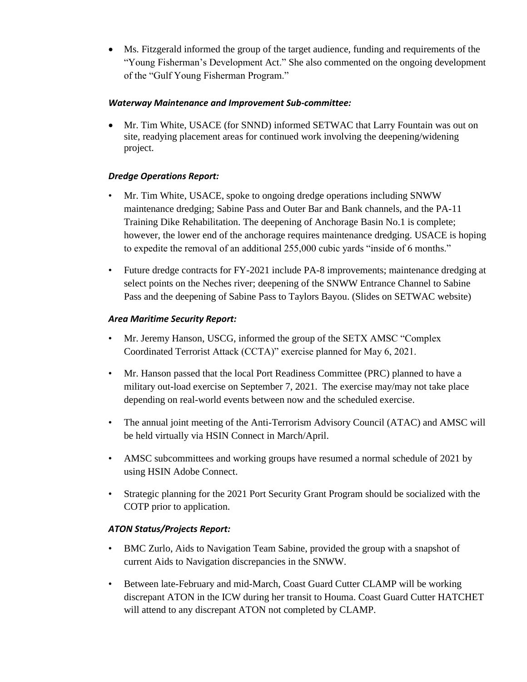Ms. Fitzgerald informed the group of the target audience, funding and requirements of the "Young Fisherman's Development Act." She also commented on the ongoing development of the "Gulf Young Fisherman Program."

#### *Waterway Maintenance and Improvement Sub-committee:*

 Mr. Tim White, USACE (for SNND) informed SETWAC that Larry Fountain was out on site, readying placement areas for continued work involving the deepening/widening project.

# *Dredge Operations Report:*

- Mr. Tim White, USACE, spoke to ongoing dredge operations including SNWW maintenance dredging; Sabine Pass and Outer Bar and Bank channels, and the PA-11 Training Dike Rehabilitation. The deepening of Anchorage Basin No.1 is complete; however, the lower end of the anchorage requires maintenance dredging. USACE is hoping to expedite the removal of an additional 255,000 cubic yards "inside of 6 months."
- Future dredge contracts for FY-2021 include PA-8 improvements; maintenance dredging at select points on the Neches river; deepening of the SNWW Entrance Channel to Sabine Pass and the deepening of Sabine Pass to Taylors Bayou. (Slides on SETWAC website)

### *Area Maritime Security Report:*

- Mr. Jeremy Hanson, USCG, informed the group of the SETX AMSC "Complex Coordinated Terrorist Attack (CCTA)" exercise planned for May 6, 2021.
- Mr. Hanson passed that the local Port Readiness Committee (PRC) planned to have a military out-load exercise on September 7, 2021. The exercise may/may not take place depending on real-world events between now and the scheduled exercise.
- The annual joint meeting of the Anti-Terrorism Advisory Council (ATAC) and AMSC will be held virtually via HSIN Connect in March/April.
- AMSC subcommittees and working groups have resumed a normal schedule of 2021 by using HSIN Adobe Connect.
- Strategic planning for the 2021 Port Security Grant Program should be socialized with the COTP prior to application.

# *ATON Status/Projects Report:*

- BMC Zurlo, Aids to Navigation Team Sabine, provided the group with a snapshot of current Aids to Navigation discrepancies in the SNWW.
- Between late-February and mid-March, Coast Guard Cutter CLAMP will be working discrepant ATON in the ICW during her transit to Houma. Coast Guard Cutter HATCHET will attend to any discrepant ATON not completed by CLAMP.